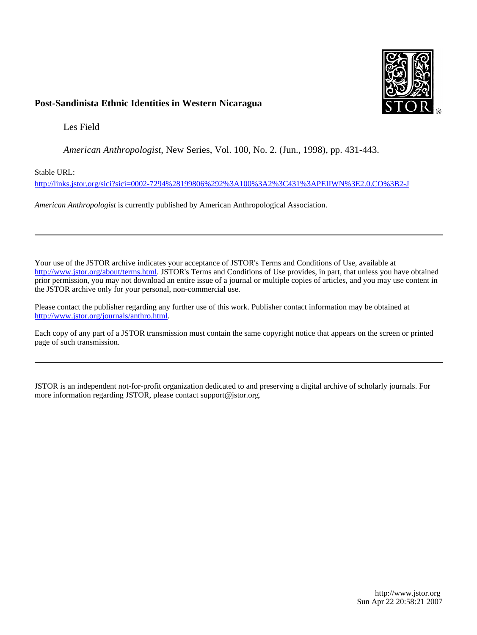

## **Post-Sandinista Ethnic Identities in Western Nicaragua**

Les Field

*American Anthropologist*, New Series, Vol. 100, No. 2. (Jun., 1998), pp. 431-443.

Stable URL:

<http://links.jstor.org/sici?sici=0002-7294%28199806%292%3A100%3A2%3C431%3APEIIWN%3E2.0.CO%3B2-J>

*American Anthropologist* is currently published by American Anthropological Association.

Your use of the JSTOR archive indicates your acceptance of JSTOR's Terms and Conditions of Use, available at [http://www.jstor.org/about/terms.html.](http://www.jstor.org/about/terms.html) JSTOR's Terms and Conditions of Use provides, in part, that unless you have obtained prior permission, you may not download an entire issue of a journal or multiple copies of articles, and you may use content in the JSTOR archive only for your personal, non-commercial use.

Please contact the publisher regarding any further use of this work. Publisher contact information may be obtained at <http://www.jstor.org/journals/anthro.html>.

Each copy of any part of a JSTOR transmission must contain the same copyright notice that appears on the screen or printed page of such transmission.

JSTOR is an independent not-for-profit organization dedicated to and preserving a digital archive of scholarly journals. For more information regarding JSTOR, please contact support@jstor.org.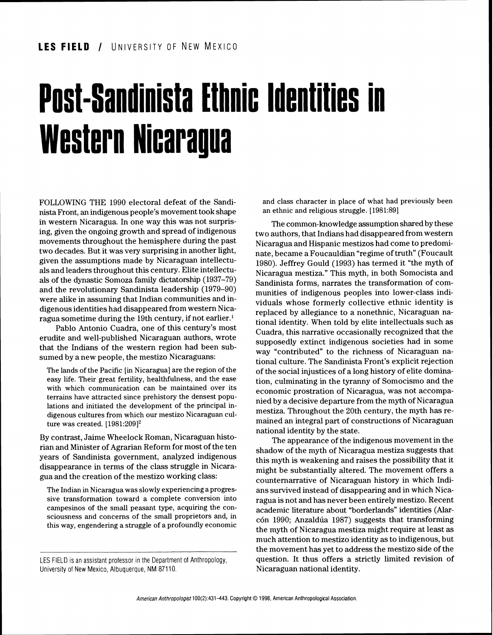# **Post-Sandinista Ethnic Identities in Western Nicaragua**

FOLLOWING THE 1990 electoral defeat of the Sandinista Front, an indigenous people's movement took shape in western Nicaragua. In one way this was not surprising, given the ongoing growth and spread of indigenous movements throughout the hemisphere during the past two decades. But it was very surprising in another light, given the assumptions made by Nicaraguan intellectuals and leaders throughout this century. Elite intellectuals of the dynastic Somoza family dictatorship (1937-79) and the revolutionary Sandinista leadership (1979-90) were alike in assuming that Indian communities and indigenous identities had disappeared from western Nicaragua sometime during the 19th century, if not earlier.'

Pablo Antonio Cuadra, one of this century's most erudite and well-published Nicaraguan authors, wrote that the Indians of the western region had been subsumed by a new people, the mestizo Nicaraguans:

The lands of the Pacific [in Nicaragua] are the region of the easy life. Their great fertility, healthfulness, and the ease with which communication can be maintained over its terrains have attracted since prehistory the densest populations and initiated the development of the principal indigenous cultures from which our mestizo Nicaraguan culture was created.  $[1981:209]^2$ 

By contrast, Jaime Wheelock Roman, Nicaraguan historian and Minister of Agrarian Reform for most of the ten years of Sandinista government, analyzed indigenous disappearance in terms of the class struggle in Nicaragua and the creation of the mestizo working class:

The Indian in Nicaragua was slowly experiencing a progressive transformation toward a complete conversion into campesinos of the small peasant type, acquiring the consciousness and concerns of the small proprietors and, in this way, engendering a struggle of a profoundly economic

and class character in place of what had previously been an ethnic and religious struggle. [1981:89]

The common-knowledge assumption shared by these two authors, that Indians had disappeared from western Nicaragua and Hispanic mestizos had come to predominate, became a Foucauldian "regime of truth" (Foucault 1980). Jeffrey Gould (1993) has termed it "the myth of Nicaragua mestiza." This myth, in both Somocista and Sandinista forms, narrates the transformation of communities of indigenous peoples into lower-class individuals whose formerly collective ethnic identity is replaced by allegiance to a nonethnic, Nicaraguan national identity. When told by elite intellectuals such as Cuadra, this narrative occasionally recognized that the supposedly extinct indigenous societies had in some way "contributed" to the richness of Nicaraguan national culture. The Sandinista Front's explicit rejection of the social injustices of a long history of elite domination, culminating in the tyranny of Somocismo and the economic prostration of Nicaragua, was not accompanied by a decisive departure from the myth of Nicaragua mestiza. Throughout the 20th century, the myth has remained an integral part of constructions of Nicaraguan national identity by the state.

The appearance of the indigenous movement in the shadow of the myth of Nicaragua mestiza suggests that this myth is weakening and raises the possibility that it might be substantially altered. The movement offers a counternarrative of Nicaraguan history in which Indians survived instead of disappearing and in which Nicaragua is not and has never been entirely mestizo. Recent academic literature about "borderlands" identities **(Alar**cón 1990; Anzaldúa 1987) suggests that transforming the myth of Nicaragua mestiza might require at least as much attention to mestizo identity as to indigenous, but the movement has yet to address the mestizo side of the question. It thus offers a strictly limited revision of Nicaraguan national identity.

LES FIELD is an assistant professor in the Department of Anthropology, University of New Mexico, Albuquerque, NM 87110.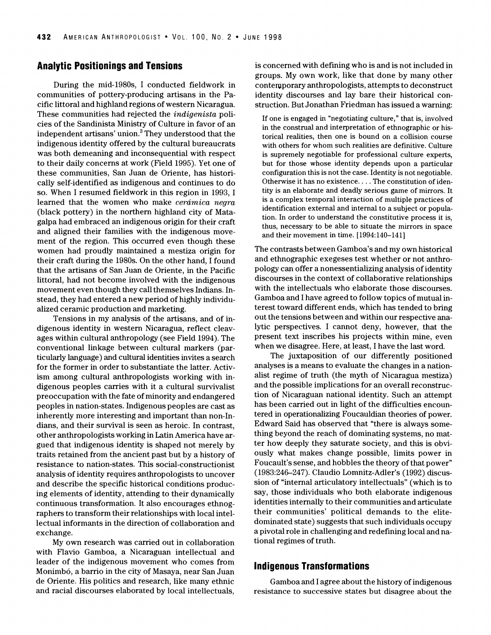## **Analytic Positionings and Tensions**

During the mid-1980s, I conducted fieldwork in communities of pottery-producing artisans in the Pacific littoral and highland regions of western Nicaragua. These communities had rejected the *indigenista* policies of the Sandinista Ministry of Culture in favor of an independent artisans' union.<sup>3</sup> They understood that the indigenous identity offered by the cultural bureaucrats was both demeaning and inconsequential with respect to their daily concerns at work (Field 1995). Yet one of these communities, San Juan de Oriente, has historically self-identified as indigenous and continues to do so. When I resumed fieldwork in this region in 1993, I learned that the women who make *ceramica negra*  (black pottery) in the northern highland city of Matagalpa had embraced an indigenous origin for their craft and aligned their families with the indigenous movement of the region. This occurred even though these women had proudly maintained a mestiza origin for their craft during the 1980s. On the other hand, I found that the artisans of San Juan de Oriente, in the Pacific littoral, had not become involved with the indigenous movement even though they call themselves Indians. Instead, they had entered a new period of highly individualized ceramic production and marketing.

Tensions in my analysis of the artisans, and of indigenous identity in western Nicaragua, reflect cleavages within cultural anthropology (see Field 1994). The conventional linkage between cultural markers (particularly language) and cultural identities invites a search for the former in order to substantiate the latter. Activism among cultural anthropologists working with indigenous peoples carries with it a cultural survivalist preoccupation with the fate of minority and endangered peoples in nation-states. Indigenous peoples are cast as inherently more interesting and important than non-Indians, and their survival is seen as heroic. In contrast, other anthropologists working in Latin America have argued that indigenous identity is shaped not merely by traits retained from the ancient past but by a history of resistance to nation-states. This social-constructionist analysis of identity requires anthropologists to uncover and describe the specific historical conditions producing elements of identity, attending to their dynamically continuous transformation. It also encourages ethnographers to transform their relationships with local intellectual informants in the direction of collaboration and exchange.

My own research was carried out in collaboration with Flavio Gamboa, a Nicaraguan intellectual and leader of the indigenous movement who comes from Monimbó, a barrio in the city of Masaya, near San Juan de Oriente. His politics and research, like many ethnic and racial discourses elaborated by local intellectuals,

is concerned with defining who is and is not included in groups. My own work, like that done by many other contemporary anthropologists, attempts to deconstruct identity discourses and lay bare their historical construction. But Jonathan Friedman has issued a warning:

If one is engaged in "negotiating culture," that is, involved in the construal and interpretation of ethnographic or historical realities, then one is bound on a collision course with others for whom such realities are definitive. Culture is supremely negotiable for professional culture experts, but for those whose identity depends upon a particular configuration this is not the case. Identity is not negotiable. Otherwise it has no existence. . . . The constitution of identity is an elaborate and deadly serious game of mirrors. It is a complex temporal interaction of multiple practices of identification external and internal to a subject or population. In order to understand the constitutive process it is, thus, necessary to be able to situate the mirrors in space and their movement in time. [1994:140-1411

The contrasts between Gamboa's and my own historical and ethnographic exegeses test whether or not anthropology can offer a nonessentializing analysis of identity discourses in the context of collaborative relationships with the intellectuals who elaborate those discourses. Gamboa and I have agreed to follow topics of mutual interest toward different ends, which has tended to bring out the tensions between and within our respective analytic perspectives. I cannot deny, however, that the present text inscribes his projects within mine, even when we disagree. Here, at least, I have the last word.

The juxtaposition of our differently positioned analyses is a means to evaluate the changes in a nationalist regime of truth (the myth of Nicaragua mestiza) and the possible implications for an overall reconstruction of Nicaraguan national identity. Such an attempt has been carried out in light of the difficulties encountered in operationalizing Foucauldian theories of power. Edward Said has observed that "there is always something beyond the reach of dominating systems, no matter how deeply they saturate society, and this is obviously what makes change possible, limits power in Foucault's sense, and hobbles the theory of that power" (1983:246-247). Claudio Lomnitz-Adler's (1992) discussion of "internal articulatory intellectuals" (which is to say, those individuals who both elaborate indigenous identities internally to their communities and articulate their communities' political demands to the elitedominated state) suggests that such individuals occupy a pivotal role in challenging and redefining local and national regimes of truth.

## **Indigenous Transformations**

Gamboa and I agree about the history of indigenous resistance to successive states but disagree about the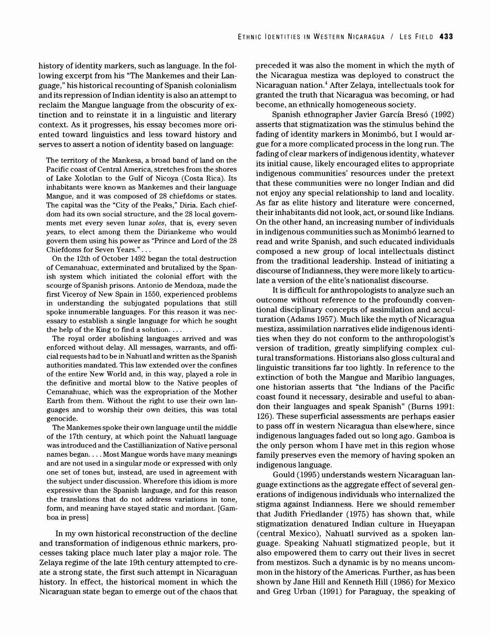history of identity markers, such as language. In the following excerpt from his "The Mankemes and their Language," his historical recounting of Spanish colonialism and its repression of Indian identity is also an attempt to reclaim the Mangue language from the obscurity of extinction and to reinstate it in a linguistic and literary context. **As** it progresses, his essay becomes more oriented toward linguistics and less toward history and serves to assert a notion of identity based on language:

The territory of the Mankesa, a broad band of land on the Pacific coast of Central America, stretches from the shores of Lake Xolotlan to the Gulf of Nicoya (Costa Rica). Its inhabitants were known as Mankemes and their language Mangue, and it was composed of 28 chiefdoms or states. The capital was the "City of the Peaks," Diria. Each chiefdom had its own social structure, and the 28 local governments met every seven lunar soles, that is, every seven years, to elect among them the Diriankeme who would govern them using his power as "Prince and Lord of the 28 Chiefdoms for Seven Years.". . .

On the 12th of October 1492 began the total destruction of Cemanahuac, exterminated and brutalized by the Spanish system which initiated the colonial effort with the scourge of Spanish prisons. Antonio de Mendoza, made the first Viceroy of New Spain in 1550, experienced problems in understanding the subjugated populations that still spoke innumerable languages. For this reason it was necessary to establish a single language for which he sought the help of the King to find a solution. . . .

The royal order abolishing languages arrived and was enforced without delay. All messages, warrants, and official requests had to be in Nahuatl and written as the Spanish authorities mandated. This law extended over the confines of the entire New World and, in this way, played a role in the definitive and mortal blow to the Native peoples of Cemanahuac, which was the expropriation of the Mother Earth from them. Without the right to use their own languages and to worship their own deities, this was total genocide.

The Mankemes spoke their own language until the middle of the 17th century, at which point the Nahuatl language was introduced and the Castillianization of Native personal names began. . . . Most Mangue words have many meanings and are not used in a singular mode or expressed with only one set of tones but, instead, are used in agreement with the subject under discussion. Wherefore this idiom is more expressive than the Spanish language, and for this reason the translations that do not address variations in tone, form, and meaning have stayed static and mordant. [Gamboa in press]

In my own historical reconstruction of the decline and transformation of indigenous ethnic markers, processes taking place much later play a major role. The Zelaya regime of the late 19th century attempted to create a strong state, the first such attempt in Nicaraguan history. In effect, the historical moment in which the Nicaraguan state began to emerge out of the chaos that preceded it was also the moment in which the myth of the Nicaragua mestiza was deployed to construct the Nicaraguan nation.<sup>4</sup> After Zelaya, intellectuals took for granted the truth that Nicaragua was becoming, or had become, an ethnically homogeneous society.

Spanish ethnographer Javier García Bresó (1992) asserts that stigmatization was the stimulus behind the fading of identity markers in Monimbó, but I would argue for a more complicated process in the long run. The fading of clear markers of indigenous identity, whatever its initial cause, likely encouraged elites to appropriate indigenous communities' resources under the pretext that these communities were no longer Indian and did not enjoy any special relationship to land and locality. As far as elite history and literature were concerned, their inhabitants did not look, act, or sound like Indians. On the other hand, an increasing number of individuals in indigenous communities such as Monimb6 learned to read and write Spanish, and such educated individuals composed a new group of local intellectuals distinct from the traditional leadership. Instead of initiating a discourse of Indianness, they were more likely to articulate a version of the elite's nationalist discourse.

It is difficult for anthropologists to analyze such an outcome without reference to the profoundly conventional disciplinary concepts of assimilation and acculturation (Adams 1957). Much like the myth of Nicaragua mestiza, assimilation narratives elide indigenous identities when they do not conform to the anthropologist's version of tradition, greatly simplifying complex cultural transformations. Historians also gloss cultural and linguistic transitions far too lightly. In reference to the extinction of both the Mangue and Maribio languages, one historian asserts that "the Indians of the Pacific coast found it necessary, desirable and useful to abandon their languages and speak Spanish" (Burns 1991: 126). These superficial assessments are perhaps easier to pass off in western Nicaragua than elsewhere, since indigenous languages faded out so long ago. Gamboa is the only person whom I have met in this region whose family preserves even the memory of having spoken an indigenous language.

Gould (1995) understands western Nicaraguan language extinctions asthe aggregate effect of several generations of indigenous individuals who internalized the stigma against Indianness. Here we should remember that Judith Friedlander (1975) has shown that, while stigmatization denatured Indian culture in Hueyapan (central Mexico), Nahuatl survived as a spoken language. Speaking Nahuatl stigmatized people, but it also empowered them to carry out their lives in secret from mestizos. Such a dynamic is by no means uncommon in the history of the Americas. Further, as has been shown by Jane Hill and Kenneth Hill (1986) for Mexico and Greg Urban (1991) for Paraguay, the speaking of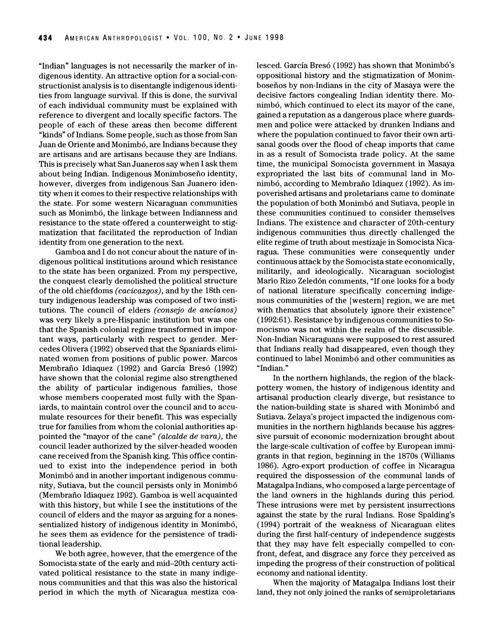"Indian" languages is not necessarily the marker of indigenous identity. An attractive option for a social-constructionist analysis is to disentangle indigenous identities from language survival. If this is done, the survival of each individual community must be explained with reference to divergent and locally specific factors. The people of each of these areas then become different "kinds" of Indians. Some people, such as those from San Juan de Oriente and Monimbó, are Indians because they are artisans and are artisans because they are Indians. This is precisely what San Juaneros say when I ask them about being Indian. Indigenous Monimboseño identity, however, diverges from indigenous San Juanero identity when it comes to their respective relationships with the state. For some western Nicaraguan communities such as Monimbó, the linkage between Indianness and resistance to the state offered a counterweight to stigmatization that facilitated the reproduction of Indian identity from one generation to the next.

Gamboa and I do not concur about the nature of indigenous political institutions around which resistance to the state has been organized. From my perspective, the conquest clearly demolished the political structure of the old chiefdoms *(cacicaxgos),* and by the 18th century indigenous leadership was composed of two institutions. The council of elders *(consejo de ancianos)*  was very likely a pre-Hispanic institution but was one that the Spanish colonial regime transformed in important ways, particularly with respect to gender. Mercedes Olivera (1992) observed that the Spaniards eliminated women from positions of public power. Marcos Membraño Idiaquez (1992) and García Bresó (1992) have shown that the colonial regime also strengthened the ability of particular indigenous families, those whose members cooperated most fully with the Spaniards, to maintain control over the council and to accumulate resources for their benefit. This was especially true for families from whom the colonial authorities appointed the "mayor of the cane" *(alcalde de vara),* the council leader authorized by the silver-headed wooden cane received from the Spanish king. This office continued to exist into the independence period in both Monimbó and in another important indigenous community, Sutiava, but the council persists only in Monimb6 (Membraño Idiaquez 1992). Gamboa is well acquainted with this history, but while I see the institutions of the council of elders and the mayor as arguing for a nonessentialized history of indigenous identity in Monimbó, he sees them as evidence for the persistence of traditional leadership.

We both agree, however, that the emergence of the Somocista state of the early and mid-20th century activated political resistance to the state in many indigenous communities and that this was also the historical period in which the myth of Nicaragua mestiza coalesced. García Bresó (1992) has shown that Monimbó's oppositional history and the stigmatization of Monimboseños by non-Indians in the city of Masaya were the decisive factors congealing Indian identity there. Monimbó, which continued to elect its mayor of the cane, gained a reputation as a dangerous place where guardsmen and police were attacked by drunken Indians and where the population continued to favor their own artisanal goods over the flood of cheap imports that came in as a result of Somocista trade policy. At the same time, the municipal Somocista government in Masaya expropriated the last bits of communal land in Monimbó, according to Membraño Idiaquez (1992). As impoverished artisans and proletarians came to dominate the population of both Monimbó and Sutiava, people in these communities continued to consider themselves Indians. The existence and character of 20th-century indigenous communities thus directly challenged the elite regime of truth about mestizaje in Somocista Nicaragua. These communities were consequently under continuous attack by the Somocista state economically, militarily, and ideologically. Nicaraguan sociologist Mario Rizo Zeledón comments, "If one looks for a body of national literature specifically concerning indigenous communities of the [western] region, we are met with thematics that absolutely ignore their existence" (1992:61). Resistance by indigenous communities to Somocismo was not within the realm of the discussible. Non-Indian Nicaraguans were supposed to rest assured that Indians really had disappeared, even though they continued to label Monimbó and other communities as "Indian."

In the northern highlands, the region of the blackpottery women, the history of indigenous identity and artisanal production clearly diverge, but resistance to the nation-building state is shared with Monimbó and Sutiava. Zelaya's project impacted the indigenous communities in the northern highlands because his aggressive pursuit of economic modernization brought about the large-scale cultivation of coffee by European immigrants in that region, beginning in the 1870s (Williams 1986). Agro-export production of coffee in Nicaragua required the dispossession of the communal lands of Matagalpa Indians, who composed a large percentage of the land owners in the highlands during this period. These intrusions were met by persistent insurrections against the state by the rural Indians. Rose Spalding's (1994) portrait of the weakness of Nicaraguan elites during the first half-century of independence suggests that they may have felt especially compelled to confront, defeat, and disgrace any force they perceived as impeding the progress of their construction of political economy and national identity.

When the majority of Matagalpa Indians lost their land, they not only joined the ranks of semiproletarians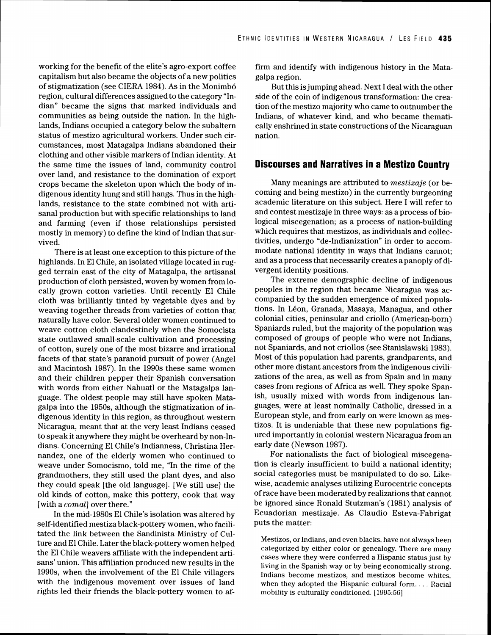working for the benefit of the elite's agro-export coffee capitalism but also became the objects of a new politics of stigmatization (see CIERA 1984). As in the Monimbo region, cultural differences assigned to the category "Indian" became the signs that marked individuals and communities as being outside the nation. In the highlands, Indians occupied a category below the subaltern status of mestizo agricultural workers. Under such circumstances, most Matagalpa Indians abandoned their clothing and other visible markers of Indian identity. At the same time the issues of land, community control over land, and resistance to the domination of export crops became the skeleton upon which the body of indigenous identity hung and still hangs. Thus in the highlands, resistance to the state combined not with artisanal production but with specific relationships to land and farming (even if those relationships persisted mostly in memory) to define the kind of Indian that survived.

There is at least one exception to this picture of the highlands. In El Chile, an isolated village located in rugged terrain east of the city of Matagalpa, the artisanal production of cloth persisted, woven by women from locally grown cotton varieties. Until recently El Chile cloth was brilliantly tinted by vegetable dyes and by weaving together threads from varieties of cotton that naturally have color. Several older women continued to weave cotton cloth clandestinely when the Somocista state outlawed small-scale cultivation and processing of cotton, surely one of the most bizarre and irrational facets of that state's paranoid pursuit of power (Angel and Macintosh 1987). In the 1990s these same women and their children pepper their Spanish conversation with words from either Nahuatl or the Matagalpa language. The oldest people may still have spoken Matagalpa into the 1950s, although the stigmatization of indigenous identity in this region, as throughout western Nicaragua, meant that at the very least Indians ceased to speak it anywhere they might be overheard by non-Indians. Concerning El Chile's Indianness, Christina Hernandez, one of the elderly women who continued to weave under Somocismo, told me, "In the time of the grandmothers, they still used the plant dyes, and also they could speak [the old language]. [We still use] the old kinds of cotton, make this pottery, cook that way [with a *comal*] over there."

In the mid-1980s El Chile's isolation was altered by self-identified mestiza black-pottery women, who facilitated the link between the Sandinista Ministry of Culture and El Chile. Later the black-pottery women helped the El Chile weavers affiliate with the independent artisans' union. This affiliation produced new results in the 1990s, when the involvement of the El Chile villagers with the indigenous movement over issues of land rights led their friends the black-pottery women to affirm and identify with indigenous history in the Matagalpa region.

But this is jumping ahead. Next I deal with the other side of the coin of indigenous transformation: the creation of the mestizo majority who came to outnumber the Indians, of whatever kind, and who became thematically enshrined in state constructions of the Nicaraguan nation.

## **Discourses and Narratives in a Mestizo Country**

Many meanings are attributed to *mestizaje* (or becoming and being mestizo) in the currently burgeoning academic literature on this subject. Here I will refer to and contest mestizaje in three ways: as a process of biological miscegenation; as a process of nation-building which requires that mestizos, as individuals and collectivities, undergo "de-Indianization" in order to accommodate national identity in ways that Indians cannot; and as a process that necessarily creates apanoply of divergent identity positions.

The extreme demographic decline of indigenous peoples in the region that became Nicaragua was accompanied by the sudden emergence of mixed populations. In Léon, Granada, Masaya, Managua, and other colonial cities, peninsular and criollo (American-born) Spaniards ruled, but the majority of the population was composed of groups of people who were not Indians, not Spaniards, and not criollos (see Stanislawski 1983). Most of this population had parents, grandparents, and other more distant ancestors from the indigenous civilizations of the area, as well as from Spain and in many cases from regions of Africa as well. They spoke Spanish, usually mixed with words from indigenous languages, were at least nominally Catholic, dressed in a European style, and from early on were known as mestizos. It is undeniable that these new populations figured importantly in colonial western Nicaragua from an early date (Newson 1987).

For nationalists the fact of biological miscegenation is clearly insufficient to build a national identity; social categories must be manipulated to do so. Likewise, academic analyses utilizing Eurocentric concepts of race have been moderated by realizations that cannot be ignored since Ronald Stutzman's (1981) analysis of Ecuadorian mestizaje. As Claudio Esteva-Fabrigat puts the matter:

Mestizos, or Indians, and even blacks, have not always been categorized by either color or genealogy. There are many cases where they were conferred a Hispanic status just by living in the Spanish way or by being economically strong. Indians become mestizos, and mestizos become whites, when they adopted the Hispanic cultural form. . .. Racial mobility is culturally conditioned. [1995:56]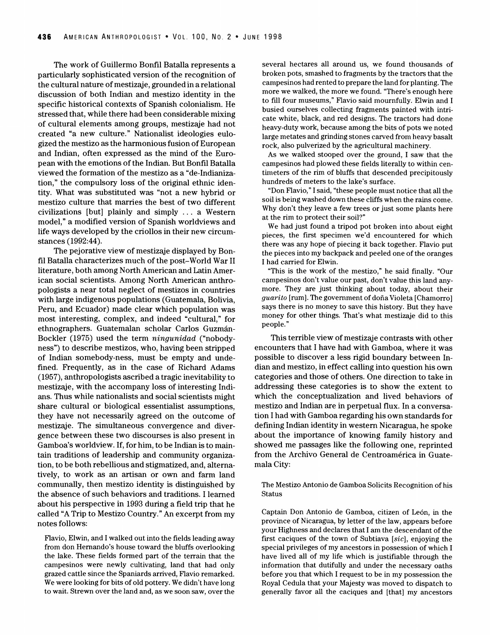The work of Guillermo Bonfil Batalla represents a particularly sophisticated version of the recognition of the cultural nature of mestizaje, grounded in a relational discussion of both Indian and mestizo identity in the specific historical contexts of Spanish colonialism. He stressed that, while there had been considerable mixing of cultural elements among groups, mestizaje had not created "a new culture." Nationalist ideologies eulogized the mestizo as the harmonious fusion of European and Indian, often expressed as the mind of the European with the emotions of the Indian. But Bonfil Batalla viewed the formation of the mestizo as a "de-Indianization," the compulsory loss of the original ethnic identity. What was substituted was "not a new hybrid or mestizo culture that marries the best of two different civilizations [but] plainly and simply . . . a Western model," a modified version of Spanish worldviews and life ways developed by the criollos in their new circumstances (1992:44).

The pejorative view of mestizaje displayed by Bonfil Batalla characterizes much of the post-World War I1 literature, both among North American and Latin American social scientists. Among North American anthropologists a near total neglect of mestizos in countries with large indigenous populations (Guatemala, Bolivia, Peru, and Ecuador) made clear which population was most interesting, complex, and indeed "cu1tura1," for ethnographers. Guatemalan scholar Carlos Guzman-Bockler (1975) used the term *ningunidad* ("nobodyness") to describe mestizos, who, having been stripped of Indian somebody-ness, must be empty and undefined. Frequently, as in the case of Richard Adams (1957), anthropologists ascribed a tragic inevitability to mestizaje, with the accompany loss of interesting Indians. Thus while nationalists and social scientists might share cultural or biological essentialist assumptions, they have not necessarily agreed on the outcome of mestizaje. The simultaneous convergence and divergence between these two discourses is also present in Gamboa's worldview. If, for him, to be Indian is to maintain traditions of leadership and community organization, to be both rebellious and stigmatized, and, alternatively, to work as an artisan or own and farm land communally, then mestizo identity is distinguished by the absence of such behaviors and traditions. I learned about his perspective in 1993 during a field trip that he called "A Trip to Mestizo Country." An excerpt from my notes follows:

Flavio, Elwin, and I walked out into the fields leading away from don Hemando's house toward the bluffs overlooking the lake. These fields formed part of the terrain that the campesinos were newly cultivating, land that had only grazed cattle since the Spaniards arrived, Flavio remarked. We were looking for bits of old pottery. We didn't have long to wait. Strewn over the land and, as we soon saw, over the

several hectares all around us, we found thousands of broken pots, smashed to fragments by the tractors that the campesinos had rented to prepare the land for planting. The more we walked, the more we found. "There's enough here to fill four museums," Flavio said mournfully. Elwin and I busied ourselves collecting fragments painted with intricate white, black, and red designs. The tractors had done heavy-duty work, because among the bits of pots we noted large metates and grinding stones carved from heavy basalt rock, also pulverized by the agricultural machinery.

As we walked stooped over the ground, I saw that the campesinos had plowed these fields literally to within centimeters of the rim of bluffs that descended precipitously hundreds of meters to the lake's surface.

"Don Flavio," I said, "these people must notice that all the soil is being washed down these cliffs when the rains come. Why don't they leave a few trees or just some plants here at the rim to protect their soil?"

We had just found a tripod pot broken into about eight pieces, the first specimen we'd encountered for which there was any hope of piecing it back together. Flavio put the pieces into my backpack and peeled one of the oranges I had carried for Elwin.

"This is the work of the mestizo," he said finally. "Our campesinos don't value our past, don't value this land anymore. They are just thinking about today, about their  $\emph{guarito}$  [rum]. The government of doña Violeta [Chamorro] says there is no money to save this history. But they have money for other things. That's what mestizaje did to this people."

This terrible view of mestizaje contrasts with other encounters that I have had with Gamboa, where it was possible to discover a less rigid boundary between Indian and mestizo, in effect calling into question his own categories and those of others. One direction to take in addressing these categories is to show the extent to which the conceptualization and lived behaviors of mestizo and Indian are in perpetual flux. In a conversation I had with Gamboa regarding his own standards for defining Indian identity in western Nicaragua, he spoke about the importance of knowing family history and showed me passages like the following one, reprinted from the Archivo General de Centroamérica in Guatemala City:

#### The Mestizo Antonio de Gamboa Solicits Recognition of his Status

Captain Don Antonio de Gamboa, citizen of León, in the province of Nicaragua, by letter of the law, appears before your Highness and declares that I am the descendant of the first caciques of the town of Subtiava [sic], enjoying the special privileges of my ancestors in possession of which I have lived all of my life which is justifiable through the information that dutifully and under the necessary oaths before you that which I request to be in my possession the Royal Cedula that your Majesty was moved to dispatch to generally favor all the caciques and [that] my ancestors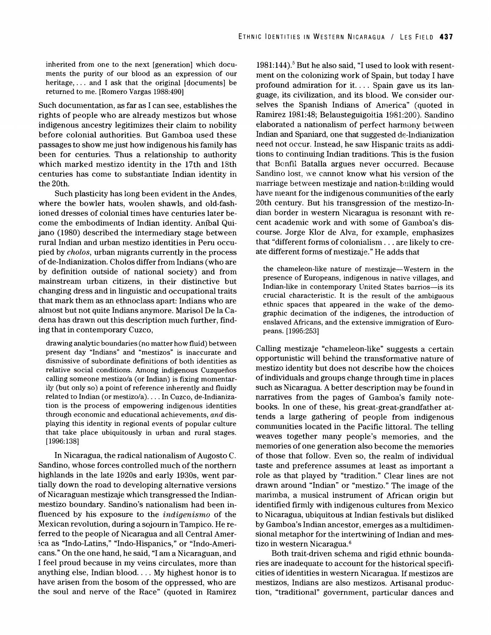inherited from one to the nest [generation] which documents the purity of our blood as an expression of our heritage,. . . and I ask that the original [documents] be returned to me. [Romero Vargas 1388:490]

Such documentation, as far as I can see, establishes the rights of people who are already mestizos but whose indigenous ancestry legitimizes their claim to nobility before colonial authorities. But Gamboa used these passages to show me just how indigenous his family has been for centuries. Thus a relationship to authority which marked mestizo identity in the 17th and 18th centuries has come to substantiate Indian identity in the 20th.

Such plasticity has long been evident in the Andes, where the bowler hats, woolen shawls, and old-fashioned dresses of colonial times have centuries later become the embodiments of Indian identity. Anibal Quijano (1980) described the intermediary stage between rural Indian and urban mestizo identities in Peru occupied by cholos, urban migrants currently in the process of de-Indianization. Cholos differ from Indians (who are by definition outside of national society) and from mainstream urban citizens, in their distinctive but changing dress and in linguistic and occupational traits that mark them as an ethnoclass apart: Indians who are almost but not quite Indians anymore. Marisol De la Cadena has drawn out this description much further, finding that in contemporary Cuzco,

drawing analytic boundaries (no matter how fluid) between present day "Indians" and "mestizos" is inaccurate and dismissive of subordinate definitions of both identities as relative social conditions. Among indigenous Cuzqueños calling someone mestizo/a (or Indian) is fixing momentarily (but only so) a point of reference inherently and fluidly related to Indian (or mestizo/a).... In Cuzco, de-Indianization is the process of empowering indigenous identities through economic and educational achievements, and displaying this identity in regional events of popular culture that take place ubiquitously in urban and rural stages. [1996: 1381

In Nicaragua, the radical nationalism of Augosto C. Sandino, whose forces controlled much of the northern highlands in the late 1920s and early 1930s, went partially down the road to developing alternative versions of Nicaraguan mestizaje which transgressed the Indianmestizo boundary. Sandino's nationalism had been influenced by his exposure to the indigenismo of the Mexican revolution, during a sojourn in Tampico. He referred to the people of Nicaragua and all Central America as "Indo-Latins," "Indo-Hispanics," or "Indo-Americans." On the one hand, he said, "I am a Nicaraguan, and I feel proud because in my veins circulates, more than anything else, Indian blood. . . . My highest honor is to have arisen from the bosom of the oppressed, who are the soul and nerve of the Race" (quoted in Ramirez

 $1981:144$ ).<sup>5</sup> But he also said, "I used to look with resentment on the colonizing work of Spain, but today I have profound admiration for it.... Spain gave us its language, its civilization, and its blood. We consider ourselves the Spanish Indians of America" (quoted in Ramirez 1981:48; Belausteguigoitia 1981:200). Sandino elaborated a nationalism of perfect harmony between Indian and Spaniard, one that suggested de-Indianization need not occur. Instead, he saw Hispanic traits as additions to continuing Indian traditions. This is the fusion that Bcnfll Batalla argues never occurred. Because Sandino lost, we cannot know what his version of the marriage between mestizaje and nation-building would have meant for the indigenous communities of the early 20th century. But his transgression of the mestizo-Indian border in western Nicaragua is resonant with recent academic work and with some of Gamboa's discourse. Jorge Klor de Alvz, for example, emphasizes that "different forms of colonialism . . . are likely to create different forms of mestizaje." He adds that

the chameleon-like nature of mestizaje-Western in the presence of Europeans, indigenous in native villages, and Indian-like in contemporary United States barrios-is its crucial characteristic. It is the result of the ambiguous ethnic spaces that appeared in the wake of the demographic decimation of the indigenes, the introduction of enslaved Africans, and the extensive immigration of Europeans. [1995:253]

Calling mestizaje "chameleon-like" suggests a certain opportunistic will behind the transformative nature of mestizo identity but does not describe how the choices of individuals and groups change through time in places such as Nicaragua. A better description may be found in narratives from the pages of Gamboa's family notebooks. In one of these, his great-great-grandfather attends a large gathering of people from indigenous communities located in the Pacific littoral. The telling weaves together many people's memories, and the memories of one generation also become the memories of those that follow. Even so, the realm of individual taste and preference assumes at least as important a role as that played by "tradition." Clear lines are not drawn around "Indian" or "mestizo." The image of the marimba, a musical instrument of African origin but identified firmly with indigenous cultures from Mexico to Nicaragua, ubiquitous at Indian festivals but disliked by Gamboa's Indian ancestor, emerges as a multidimensional metaphor for the intertwining of Indian and mestizo in western Nicaragua. $6$ 

Both trait-driven schema and rigid ethnic boundaries are inadequate to account for the historical specificities of identities in western Nicaragua. If mestizos are mestizos, Indians are also mestizos. Artisanal production, "traditional" government, particular dances and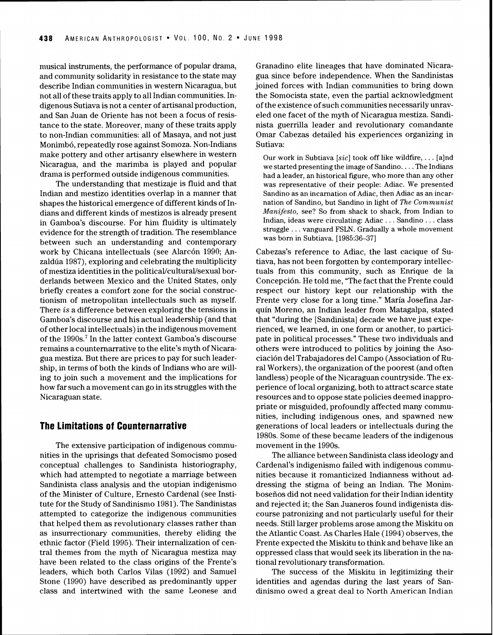musical instruments, the performance of popular drama, and community solidarity in resistance to the state may describe Indian communities in western Nicaragua, but not all of these traits apply to all Indian communities. Indigenous Sutiava is not a center of artisanal production, and San Juan de Oriente has not been a focus of resistance to the state. Moreover, many of these traits apply to non-Indian communities: all of Masaya, and not just Monimb6, repeatedly rose against Somoza. Non-Indians make pottery and other artisanry elsewhere in western Nicaragua, and the marimba is played and popular drama is performed outside indigenous communities.

The understanding that mestizaje is fluid and that Indian and mestizo identities overlap in a manner that shapes the historical emergence of different kinds of Indians and different kinds of mestizos is already present in Gamboa's discourse. For him fluidity is ultimately evidence for the strength of tradition. The resemblance between such an understanding and contemporary work by Chicana intellectuals (see Alarcón 1990; Anzaldúa 1987), exploring and celebrating the multiplicity of mestiza identities in the political/cultural/sexual borderlands between Mexico and the United States, only briefly creates a comfort zone for the social constructionism of metropolitan intellectuals such as myself. There is a difference between exploring the tensions in Gamboa's discourse and his actual leadership (and that of other local intellectuals) in the indigenous movement of the 1990s.' In the latter context Gamboa's discourse remains a counternarrative to the elite's myth of Nicaragua mestiza. But there are prices to pay for such leadership, in terms of both the kinds of Indians who are willing to join such a movement and the implications for how far such a movement can go in its struggles with the Nicaraguan state.

# **The Limitations of Counternarrative**

The extensive participation of indigenous communities in the uprisings that defeated Somocismo posed conceptual challenges to Sandinista historiography, which had attempted to negotiate a marriage between Sandinista class analysis and the utopian indigenismo of the Minister of Culture, Ernesto Cardenal (see Institute for the Study of Sandinismo 1981). The Sandinistas attempted to categorize the indigenous communities that helped them as revolutionary classes rather than as insurrectionary communities, thereby eliding the ethnic factor (Field 1995). Their internalization of central themes from the myth of Nicaragua mestiza may have been related to the class origins of the Frente's leaders, which both Carlos Vilas (1992) and Samuel Stone (1990) have described as predominantly upper class and intertwined with the same Leonese and

Granadino elite lineages that have dominated Nicaragua since before independence. When the Sandinistas joined forces with Indian communities to bring down the Somocista state, even the partial acknowledgment of the existence of such communities necessarily unraveled one facet of the myth of Nicaragua mestiza. Sandinista guerrilla leader and revolutionary comandante Omar Cabezas detailed his experiences organizing in Sutiava:

Our work in Subtiava [sic] took off like wildfire, . . . [alnd we started presenting the image of Sandino. .. .The Indians had a leader, an historical figure, who more than any other was representative of their people: Adiac. We presented Sandino as an incarnation of Adiac, then Adiac as an incarnation of Sandino, but Sandino in light of The Communist Manifesto, see? So from shack to shack, from Indian to Indian, ideas were circulating: Adiac .. . Sandino .. . class struggle ...vanguard FSLN. Gradually a whole movement was born in Subtiava. [1985:36-371

Cabezas's reference to Adiac, the last cacique of Sutiava, has not been forgotten by contemporary intellectuals from this community, such as Enrique de la Concepcion. He told me, "The fact that the Frente could respect our history kept our relationship with the Frente very close for a long time." Maria Josefina Jarquin Moreno, an Indian leader from Matagalpa, stated that "during the [Sandinista] decade we have just experienced, we learned, in one form or another, to participate in political processes." These two individuals and others were introduced to politics by joining the Asociacion del Trabajadores del Campo (Association of Rural Workers), the organization of the poorest (and often landless) people of the Nicaraguan countryside. The experience of local organizing, both to attract scarce state resources and to oppose state policies deemed inappropriate or misguided, profoundly affected many communities, including indigenous ones, and spawned new generations of local leaders or intellectuals during the 1980s. Some of these became leaders of the indigenous movement in the 1990s.

The alliance between Sandinista class ideology and Cardenal's indigenismo failed with indigenous communities because it romanticized Indianness without addressing the stigma of being an Indian. The Monimbosefios did not need validation for their Indian identity and rejected it; the San Juaneros found indigenista discourse patronizing and not particularly useful for their needs. Still larger problems arose among the Miskitu on the Atlantic Coast. As Charles Hale (1994) observes, the Frente expected the Miskitu to think and behave like an oppressed class that would seek its liberation in the national revolutionary transformation.

The success of the Miskitu in legitimizing their identities and agendas during the last years of Sandinismo owed a great deal to North American Indian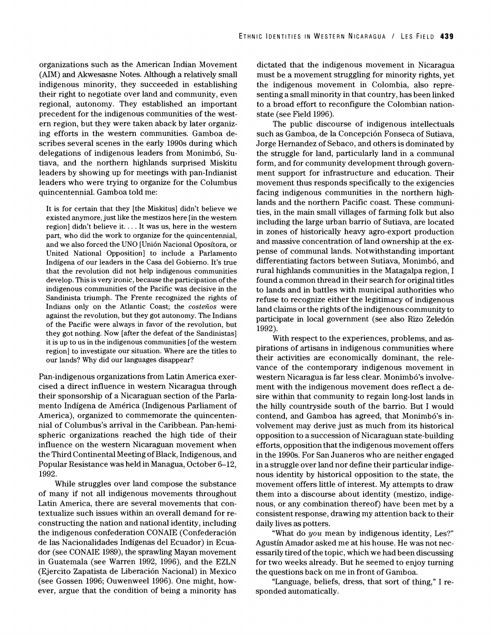organizations such as the American Indian Movement (AIM) and Akwesasne Notes. Although a relatively small indigenous minority, they succeeded in establishing their right to negotiate over land and community, even regional, autonomy. They established an important precedent for the indigenous communities of the western region, but they were taken aback by later organizing efforts in the western communities. Gamboa describes several scenes in the early 1990s during which delegations of indigenous leaders from Monimbó, Sutiava, and the northern highlands surprised Miskitu leaders by showing up for meetings with pan-Indianist leaders who were trying to organize for the Columbus quincentennial. Gamboa told me:

It is for certain that they [the Miskitus] didn't believe we existed anymore, just like the mestizos here [in the western region] didn't believe it. . . .It was us, here in the western part, who did the work to organize for the quincentennial, and we also forced the UNO [Unión Nacional Oposítora, or United National Opposition to include a Parlamento Indígena of our leaders in the Casa del Gobierno. It's true that the revolution did not help indigenous communities develop. This is very ironic, because the participation of the indigenous communities of the Pacific was decisive in the Sandinista triumph. The Frente recognized the rights of Indians only on the Atlantic Coast; the *costeños* were against the revolution, but they got autonomy. The Indians of the Pacific were always in favor of the revolution, but they got nothing. Now [after the defeat of the Sandinistas] it is up to us in the indigenous communities [of the western region] to investigate our situation. Where are the titles to our lands? Why did our languages disappear?

Pan-indigenous organizations from Latin America exercised a direct influence in western Nicaragua through their sponsorship of a Nicaraguan section of the Parlamento Indigena de America (Indigenous Parliament of America), organized to commemorate the quincentennial of Columbus's arrival in the Caribbean. Pan-hemispheric organizations reached the high tide of their influence on the western Nicaraguan movement when the Third Continental Meeting of Black, Indigenous, and Popular Resistance was held in Managua, October 6-12, 1992.

While struggles over land compose the substance of many if not all indigenous movements throughout Latin America, there are several movements that contextualize such issues within an overall demand for reconstructing the nation and national identity, including the indigenous confederation CONAIE (Confederation de las Nacionalidades Indigenas del Ecuador) in Ecuador (see CONAIE 1989), the sprawling Mayan movement in Guatemala (see Warren 1992, 1996), and the EZLN (Ejercito Zapatista de Liberación Nacional) in Mexico (see Gossen 1996; Ouwenweel 1996). One might, however, argue that the condition of being a minority has

dictated that the indigenous movement in Nicaragua must be a movement struggling for minority rights, yet the indigenous movement in Colombia, also representing a small minority in that country, has been linked to a broad effort to reconfigure the Colombian nationstate (see Field 1996).

The public discourse of indigenous intellectuals such as Gamboa, de la Concepcion Fonseca of Sutiava, Jorge Hernandez of Sebaco, and others is dominated by the struggle for land, particularly land in a communal form, and for community development through government support for infrastructure and education. Their movement thus responds specifically to the exigencies facing indigenous communities in the northern highlands and the northern Pacific coast. These communities, in the main small villages of farming folk but also including the large urban barrio of Sutiava, are located in zones of historically heavy agro-export production and massive concentration of land ownership at the expense of communal lands. Notwithstanding important differentiating factors between Sutiava, Monimbó, and rural highlands communities in the Matagalpa region, I found a common thread in their search for original titles to lands and in battles with municipal authorities who refuse to recognize either the legitimacy of indigenous land claims or the rights of the indigenous community to participate in local government (see also Rizo Zeledon 1992).

With respect to the experiences, problems, and aspirations of artisans in indigenous communities where their activities are economically dominant. the relevance of the contemporary indigenous movement in western Nicaragua is far less clear. Monimbó's involvement with the indigenous movement does reflect a desire within that community to regain long-lost lands in the hilly countryside south of the barrio. But I would contend, and Gamboa has agreed, that Monimbó's involvement may derive just as much from its historical opposition to a succession of Nicaraguan state-building efforts, opposition that the indigenous movement offers in the 1990s. For San Juaneros who are neither engaged in a struggle over land nor define their particular indigenous identity by historical opposition to the state, the movement offers little of interest. My attempts to draw them into a discourse about identity (mestizo, indigenous, or any combination thereof) have been met by a consistent response, drawing my attention back to their daily lives as potters.

"What do you mean by indigenous identity, Les?" Agustin Amador asked me at his house. He was not necessarily tired of the topic, which we had been discussing for two weeks already. But he seemed to enjoy turning the questions back on me in front of Gamboa.

"Language, beliefs, dress, that sort of thing," I responded automatically.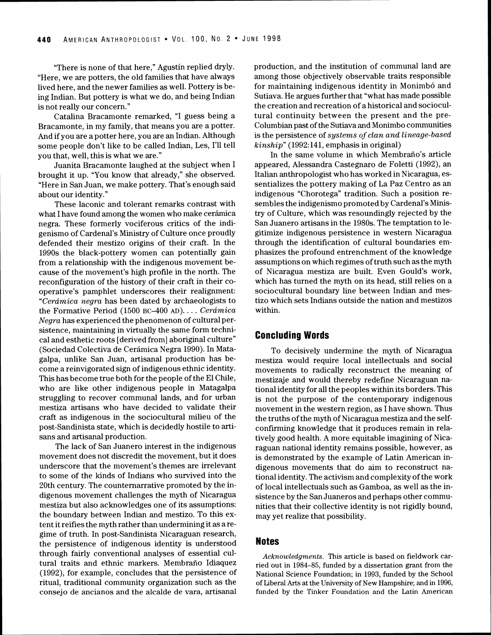"There is none of that here," Agustin replied dryly. "Here, we are potters, the old families that have always lived here, and the newer families as well. Pottery is being Indian. But pottery is what we do, and being Indan is not really our concern."

Catalina Bracamonte remarked, "I guess being a Bracamonte, in my family, that means you are a potter. And if you are a potter here, you are an Indian. Although some people don't like to be called Indian, Les, I'll tell you that, well, this is what we are."

Juanita Bracamonte laughed at the subject when I brought it up. "You know that already," she observed. "Here in San Juan, we make pottery. That's enough said about our identity."

These laconic and tolerant remarks contrast with what I have found among the women who make cerámica negra. These formerly vociferous critics of the indigenismo of Cardenal's Ministry of Culture once proudly defended their mestizo origins of their craft. In the 1990s the black-pottery women can potentially gain from a relationship with the indigenous movement because of the movement's high profile in the north. The reconfiguration of the history of their craft in their cooperative's pamphlet underscores their realignment: "Cerámica negra has been dated by archaeologists to the Formative Period (1500 BC-400 AD).... Cerámica  $Negra$  has experienced the phenomenon of cultural persistence, maintaining in virtually the same form technical and esthetic roots [derived from] aboriginal culture" (Sociedad Colectiva de Ceramica Negra 1990). In Matagalpa, unlike San Juan, artisanal production has become a reinvigorated sign of indigenous ethnic identity. This has become true both for the people of the El Chile, who are like other indigenous people in Matagalpa struggling to recover communal lands, and for urban mestiza artisans who have decided to validate their craft as indigenous in the sociocultural milieu of the post-Sandinista state, which is decidedly hostile to artisans and artisanal production.

The lack of San Juanero interest in the indigenous movement does not discredit the movement, but it does underscore that the movement's themes are irrelevant to some of the kinds of Indians who survived into the 20th century. The counternarrative promoted by the indigenous movement challenges the myth of Nicaragua mestiza but also acknowledges one of its assumptions: the boundary between Indian and mestizo. To this extent it reifies the myth rather than undermining it as a regime of truth. In post-Sandinista Nicaraguan research, the persistence of indigenous identity is understood through fairly conventional analyses of essential cultural traits and ethnic markers. Membrafio Idiaquez (1992), for example, concludes that the persistence of ritual, traditional community organization such as the consejo de ancianos and the alcalde de vara, artisanal

production, and the institution of communal land are among those objectively observable traits responsible for maintaining indigenous identity in Monimbó and Sutiava. He argues further that "what has made possible the creation and recreation of a historical and sociocultural continuity between the present and the pre-Columbian past of the Sutiava and Monimbo communities is the persistence of systems of clan and lineage-based  $kinship" (1992:141, emphasis in original)$ 

In the same volume in which Membraño's article appeared, Alessandra Castegnaro de Foletti (1992), an Italian anthropologist who has worked in Nicaragua, essentializes the pottery making of La Paz Centro as an indigenous "Chorotega" tradition. Such a position resembles the indigenismo promoted by Cardenal's Ministry of Culture, which was resoundingly rejected by the San Juanero artisans in the 1980s. The temptation to legitimize indgenous persistence in western Nicaragua through the identification of cultural boundaries emphasizes the profound entrenchment of the knowledge assumptions on which regimes of truth such as the myth of Nicaragua mestiza are built. Even Gould's work, which has turned the myth on its head, still relies on a sociocultural boundary line between Indian and mestizo which sets Indians outside the nation and mestizos within.

### **Concluding Words**

To decisively undermine the myth of Nicaragua mestiza would require local intellectuals and social movements to radically reconstruct the meaning of mestizaje and would thereby redefine Nicaraguan national identity for all the peoples within its borders. This is not the purpose of the contemporary indigenous movement in the western region, as I have shown. Thus the truths of the myth of Nicaragua mestiza and the selfconfirming knowledge that it produces remain in relatively good health. A more equitable imagining of Nicaraguan national identity remains possible, however, as is demonstrated by the example of Latin American indigenous movements that do aim to reconstruct national identity. The activism and complexity of the work of local intellectuals such as Gamboa, as well as the insistence by the San Juaneros and perhaps other communities that their collective identity is not rigidly bound, may yet realize that possibility.

#### **Notes**

*Acknowledgments.* This article is based on fieldwork carried out in 1984-85, funded by a dissertation grant from the National Science Foundation; in 1993, funded by the School of Liberal Arts at the University of New Hampshire; and in 1996, funded by the Tinker Foundation and the Latin American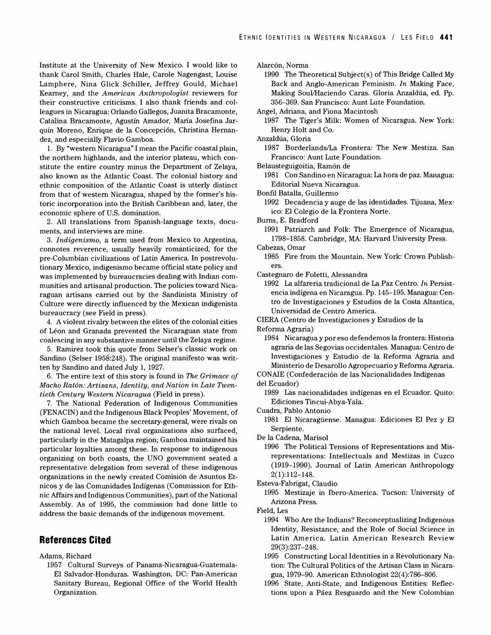Institute at the University of New Mexico. I would like to thank Carol Smith, Charles Hale, Carole Nagengast, Louise Lamphere, Nina Glick Schiller, Jeffrey Gould, Michael Kearney, and the *American Anthropologist* reviewers for their constructive criticisms. I also thank friends and colleagues in Nicaragua: Orlando Gallegos, Juanita Bracamonte, Catalina Bracamonte, Agustin Amador, Maria Josefina Jarquin Moreno, Enrique de la Concepcion, Christina Hernandez, and especially Flavio Gamboa.

1. By "western Nicaragua" I mean the Pacific coastal plain, the northern highlands, and the interior plateau, which constitute the entire country minus the Department of Zelaya, also known as the Atlantic Coast. The colonial history and ethnic composition of the Atlantic Coast is utterly distinct from that of western Nicaragua, shaped by the former's historic incorporation into the British Caribbean and, later, the economic sphere of U.S. domination.

2. All translations from Spanish-language texts, documents, and interviews are mine.

3. *Indigenisrno,* a term used from Mexico to Argentina, connotes reverence, usually heavily romanticized, for the pre-Columbian civilizations of Latin America. In postrevolutionary Mexico, indigenismo became official state policy and was implemented by bureaucracies dealing with Indian communities and artisanal production. The policies toward Nicaraguan artisans carried out by the Sandinista Ministry of Culture were directly influenced by the Mexican indigenista bureaucracy (see Field in press).

4. A violent rivalry between the elites of the colonial cities of Léon and Granada prevented the Nicaraguan state from coalescing in any substantive manner until the Zelaya regime.

5. Ramirez took this quote from Selser's classic work on Sandino (Selser 1958:248). The original manifesto was written by Sandino and dated July 1, 1927.

6. The entire text of this story is found in *The Grimace of Macho Raton: Artisans, Identity, and Nation in Late* **Twen***tieth Century Western Nicaragua* (Field in press).

7. The National Federation of Indigenous Communities (FENACIN) and the Indigenous Black Peoples' Movement, of which Gamboa became the secretary-general, were rivals on the national level. Local rival organizations also surfaced, particularly in the Matagalpa region; Gamboa maintained his particular loyalties among these. In response to indigenous organizing on both coasts, the UNO government seated a representative delegation from several of these indigenous organizations in the newly created Comision de Asuntos Etnicos y de las Comunidades Indigenas (Commission for Ethnic Affairs and Indigenous Communities), part of the National Assembly. As of 1995, the commission had done little to address the basic demands of the indigenous movement.

#### **References Cited**

Adams, Richard

1957 Cultural Surveys of Panama-Nicaragua-Guatemala-El Salvador-Honduras. Washington, DC: Pan-American Sanitary Bureau, Regional Office of the World Health Organization.

Alarcón, Norma

1990 The Theoretical Subject(s) of This Bridge Called My Back and Anglo-American Feminism. *In* Making Face, Making Soul/Haciendo Caras. Gloria Anzaldúa, ed. Pp. 356-369. San Francisco: Aunt Lute Foundation.

Angel, Adriana, and Fiona Macintosh

- 1987 The Tiger's Milk: Women of Nicaragua. New York: Henry Holt and Co.
- Anzaldúa, Gloria
	- 1987 Borderlands/La Frontera: The New Mestiza. San Francisco: Aunt Lute Foundation.

Belausteguigoitia, Ramón de

1981 Con Sandino en Nicaragua: La hora de paz. Managua: Editorial Nueva Nicaragua.

Bonfil Batalla, Guillermo

- 1992 Decadencia y auge de las identidades. Tijuana, Mexico: El Colegio de la Frontera Norte.
- Bums, E. Bradford
	- 1991 Patriarch and Folk: The Emergence of Nicaragua, 1798-1858. Cambridge, MA: Harvard University Press.
- Cabezas, Omar
	- 1985 Fire from the Mountain. New York: Crown Publishers.

Castegnaro de Foletti, Alessandra

- 1992 La alfareria tradicional de La Paz Centro. *In* Persistencia indigena en Nicaragua. Pp. 145-195. Managua: Centro de Investigaciones y Estudios de la Costa Altantica, Universidad de Centro America.
- CIERA (Centro de Investigaciones y Estudios de la

Reforma Agraria)

1984 Nicaragua y por eso defendemos la frontera: Historia agraria de las Segovias occidentales. Managua: Centro de Investigaciones y Estudio de la Reforma Agraria and Ministerio de Desarollo Agropecuario y Reforma Agraria.

CONAIE (Confederacion de las Nacionalidades Indigenas del Ecuador)

- 1989 Las nacionalidades indigenas en el Ecuador. Quito: Ediciones Tincui-Abya-Yala.
- Cuadra, Pablo Antonio
	- 1981 El Nicaragiiense. Managua: Ediciones El Pez y El Serpiente.
- De la Cadena, Marisol
	- 1996 The Political Tensions of Representations and Misrepresentations: Intellectuals and Mestizas in Cuzco (1919-1990). Journal of Latin American Anthropology 2(1):112-148.

Esteva-Fabrigat, Claudio

1995 Mestizaje in Ibero-America. Tucson: University of Arizona Press.

Field, Les

- 1994 Who Are the Indians? Reconceptualizing Indigenous Identity, Resistance, and the Role of Social Science in Latin America. Latin American Research Review 29(3):237-248.
- 1995 Constructing Local Identities in a Revolutionary Nation: The Cultural Politics of the Artisan Class in Nicaragua, 1979-90. American Ethnologist 22(4):786-806.
- 1996 State, Anti-State, and Indigenous Entities: Reflections upon a Páez Resguardo and the New Colombian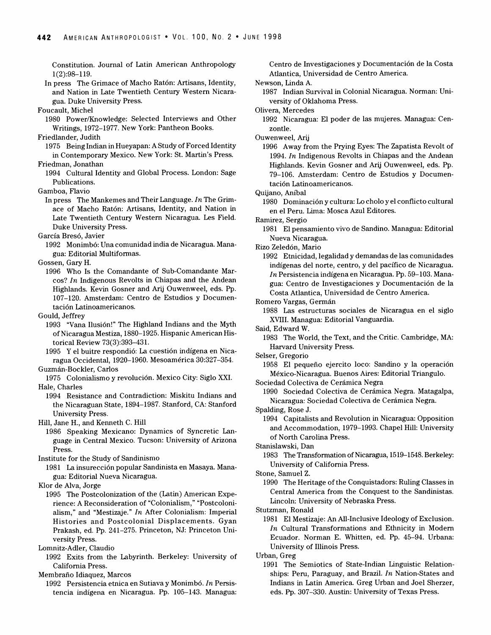Constitution. Journal of Latin American Anthropology 1(2):98-119.

In press The Grimace of Macho Ratón: Artisans, Identity, and Nation in Late Twentieth Century Western Nicaragua. Duke University Press.

Foucault, Michel

1980 Power/Knowledge: Selected Interviews and Other Writings, 1972-1977. New York: Pantheon Books.

Friedlander, Judith

1975 Being Indian in Hueyapan: AStudy of Forced Identity in Contemporary Mexico. New York: St. Martin's Press.

- Friedman, Jonathan
	- 1994 Cultural Identity and Global Process. London: Sage Publications.
- Gamboa, Flavio
	- In press The Mankemes and Their Language. **In** The Grimace of Macho Raton: Artisans, Identity, and Nation in Late Twentieth Century Western Nicaragua. Les Field. Duke University Press.

García Bresó, Javier

1992 Monimbó: Una comunidad india de Nicaragua. Managua: Editorial Multiformas.

Gossen, Gary H.

1996 Who Is the Comandante of Sub-Comandante Marcos? **In** Indigenous Revolts in Chiapas and the Andean Highlands. Kevin Gosner and Arij Ouwenweel, eds. Pp. 107-120. Amsterdam: Centro de Estudios y Documentacion Latinoamericanos.

Gould, Jeffrey

- 1993 "Vana Ilusion!" The Highland Indians and the Myth of Nicaragua Mestiza, 1880-1925. Hispanic American Historical Review 73(3):393-431.
- 1995 Y el buitre respondio: La cuestion indigena en Nicaragua Occidental, 1920-1960. Mesoamerica 30:327-354.
- Guzman-Bockler, Carlos 1975 Colonialismo y revolucion. Mexico City: Siglo XXI.

Hale, Charles

1994 Resistance and Contradiction: Miskitu Indians and the Nicaraguan State, 1894-1987. Stanford, CA: Stanford University Press.

Hill, Jane H., and Kenneth C. Hill

- 1986 Speaking Mexicano: Dynamics of Syncretic Language in Central Mexico. Tucson: University of Arizona Press.
- Institute for the Study of Sandinismo
	- 1981 La insureccion popular Sandinista en Masaya. Managua: Editorial Nueva Nicaragua.

Klor de Alva, Jorge

1995 The Postcolonization of the (Latin) American Experience: A Reconsideration of "Colonialism," "Postcolonialism," and "Mestizaje." **In** After Colonialism: Imperial Histories and Postcolonial Displacements. Gyan Prakash, ed. Pp. 241-275. Princeton, NJ: Princeton University Press.

Lomnitz-Adler, Claudio

1992 Exits from the Labyrinth. Berkeley: University of California Press.

Membraño Idiaquez, Marcos

1992 Persistencia etnica en Sutiava y Monimbó. *In* Persistencia indigena en Nicaragua. Pp. 105-143. Managua: Centro de Investigaciones y Documentacion de la Costa Atlantica, Universidad de Centro America.

- Newson, Linda **A.** 
	- 1987 Indian Survival in Colonial Nicaragua. Norman: University of Oklahoma Press.
- Olivera, Mercedes
	- 1992 Nicaragua: El poder de las mujeres. Managua: Cenzontle.

Ouwenweel, Arij

1996 Away from the Prying Eyes: The Zapatista Revolt of 1994. **In** Indigenous Revolts in Chiapas and the Andean Highlands. Kevin Gosner and Arij Ouwenweel, eds. Pp. 79-106. Amsterdam: Centro de Estudios y Documentación Latinoamericanos.

Quijano, Anibal

1980 Dominación y cultura: Lo cholo y el conflicto cultural en el Peru. Lima: Mosca Azul Editores.

Ramirez, Sergio

1981 El pensamiento vivo de Sandino. Managua: Editorial Nueva Nicaragua.

Rizo Zeledon, Mario

1992 Etnicidad, legalidad y demandas de las comunidades indigenas del norte, centro, y del pacific0 de Nicaragua. **In** Persistencia indigena en Nicaragua. Pp. 59-103. Managua: Centro de Investigaciones y Documentacion de la Costa Atlantica, Universidad de Centro America.

Romero Vargas, Germán

1988 Las estructuras sociales de Nicaragua en el siglo XVIII. Managua: Editorial Vanguardia.

Said, Edward W.

1983 The World, the Text, and the Critic. Cambridge, MA: Harvard University Press.

Selser, Gregorio

1958 El pequeño ejercito loco: Sandino y la operación Mexico-Nicaragua. Buenos Aires: Editorial Triangulo.

Sociedad Colectiva de Ceramica Negra

1990 Sociedad Colectiva de Ceramica Negra. Matagalpa, Nicaragua: Sociedad Colectiva de Cerámica Negra.

Spalding, Rose J.

- 1994 Capitalists and Revolution in Nicaragua: Opposition and Accommodation, 1979-1993. Chapel Hill: University of North Carolina Press.
- Stanislawski, Dan
	- 1983 The Transformation of Nicaragua, 1519-1548. Berkeley: University of California Press.
- Stone, Samuel Z.
	- 1990 The Heritage of the Conquistadors: Ruling Classes in Central America from the Conquest to the Sandinistas. Lincoln: University of Nebraska Press.
- Stutzman, Ronald
	- 1981 El Mestizaje: An All-Inclusive Ideology of Exclusion. **In** Cultural Transformations and Ethnicity in Modern Ecuador. Norman E. Whitten, ed. Pp. 45-94. Urbana: University of Illinois Press.

Urban, Greg

1991 The Semiotics of State-Indian Linguistic Relationships: Peru, Paraguay, and Brazil. **In** Nation-States and Indians in Latin America. Greg Urban and Joel Sherzer, eds. Pp. 307-330. Austin: University of Texas Press.